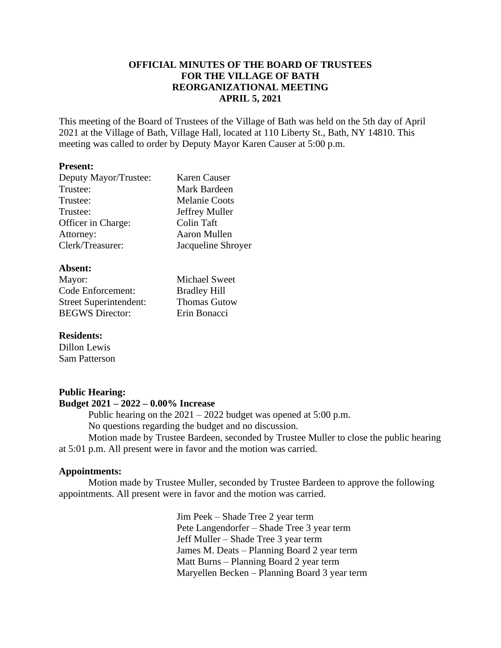## **OFFICIAL MINUTES OF THE BOARD OF TRUSTEES FOR THE VILLAGE OF BATH REORGANIZATIONAL MEETING APRIL 5, 2021**

This meeting of the Board of Trustees of the Village of Bath was held on the 5th day of April 2021 at the Village of Bath, Village Hall, located at 110 Liberty St., Bath, NY 14810. This meeting was called to order by Deputy Mayor Karen Causer at 5:00 p.m.

#### **Present:**

| Deputy Mayor/Trustee: | Karen Causer         |
|-----------------------|----------------------|
| Trustee:              | Mark Bardeen         |
| Trustee:              | <b>Melanie Coots</b> |
| Trustee:              | Jeffrey Muller       |
| Officer in Charge:    | Colin Taft           |
| Attorney:             | Aaron Mullen         |
| Clerk/Treasurer:      | Jacqueline Shroyer   |

#### **Absent:**

| Mayor:                        |
|-------------------------------|
| Code Enforcement:             |
| <b>Street Superintendent:</b> |
| <b>BEGWS</b> Director:        |

Michael Sweet Bradley Hill Thomas Gutow Erin Bonacci

### **Residents:**

Dillon Lewis Sam Patterson

### **Public Hearing:**

### **Budget 2021 – 2022 – 0.00% Increase**

Public hearing on the  $2021 - 2022$  budget was opened at  $5:00$  p.m. No questions regarding the budget and no discussion. Motion made by Trustee Bardeen, seconded by Trustee Muller to close the public hearing

at 5:01 p.m. All present were in favor and the motion was carried.

### **Appointments:**

Motion made by Trustee Muller, seconded by Trustee Bardeen to approve the following appointments. All present were in favor and the motion was carried.

> Jim Peek – Shade Tree 2 year term Pete Langendorfer – Shade Tree 3 year term Jeff Muller – Shade Tree 3 year term James M. Deats – Planning Board 2 year term Matt Burns – Planning Board 2 year term Maryellen Becken – Planning Board 3 year term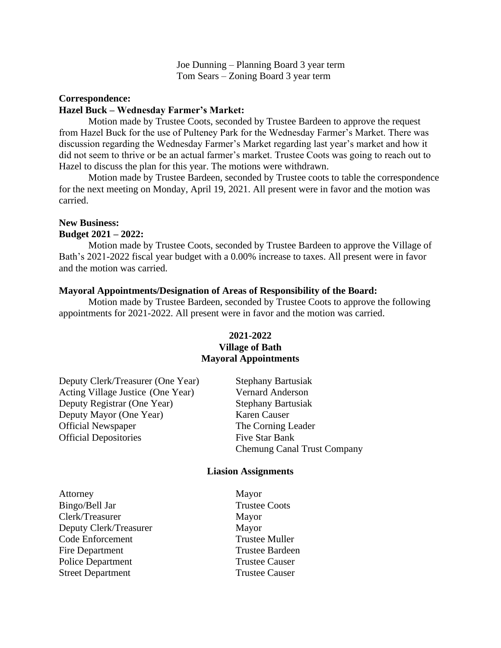Joe Dunning – Planning Board 3 year term Tom Sears – Zoning Board 3 year term

## **Correspondence: Hazel Buck – Wednesday Farmer's Market:**

Motion made by Trustee Coots, seconded by Trustee Bardeen to approve the request from Hazel Buck for the use of Pulteney Park for the Wednesday Farmer's Market. There was discussion regarding the Wednesday Farmer's Market regarding last year's market and how it did not seem to thrive or be an actual farmer's market. Trustee Coots was going to reach out to Hazel to discuss the plan for this year. The motions were withdrawn.

Motion made by Trustee Bardeen, seconded by Trustee coots to table the correspondence for the next meeting on Monday, April 19, 2021. All present were in favor and the motion was carried.

#### **New Business:**

### **Budget 2021 – 2022:**

Motion made by Trustee Coots, seconded by Trustee Bardeen to approve the Village of Bath's 2021-2022 fiscal year budget with a 0.00% increase to taxes. All present were in favor and the motion was carried.

#### **Mayoral Appointments/Designation of Areas of Responsibility of the Board:**

Motion made by Trustee Bardeen, seconded by Trustee Coots to approve the following appointments for 2021-2022. All present were in favor and the motion was carried.

## **2021-2022 Village of Bath Mayoral Appointments**

| Deputy Clerk/Treasurer (One Year) | <b>Stephany Bartusiak</b>          |
|-----------------------------------|------------------------------------|
| Acting Village Justice (One Year) | <b>Vernard Anderson</b>            |
| Deputy Registrar (One Year)       | <b>Stephany Bartusiak</b>          |
| Deputy Mayor (One Year)           | Karen Causer                       |
| <b>Official Newspaper</b>         | The Corning Leader                 |
| <b>Official Depositories</b>      | Five Star Bank                     |
|                                   | <b>Chemung Canal Trust Company</b> |
|                                   |                                    |

#### **Liasion Assignments**

Attorney Mayor Bingo/Bell Jar Trustee Coots Clerk/Treasurer Mayor Deputy Clerk/Treasurer Mayor Code Enforcement Trustee Muller Fire Department Trustee Bardeen Police Department Trustee Causer Street Department Trustee Causer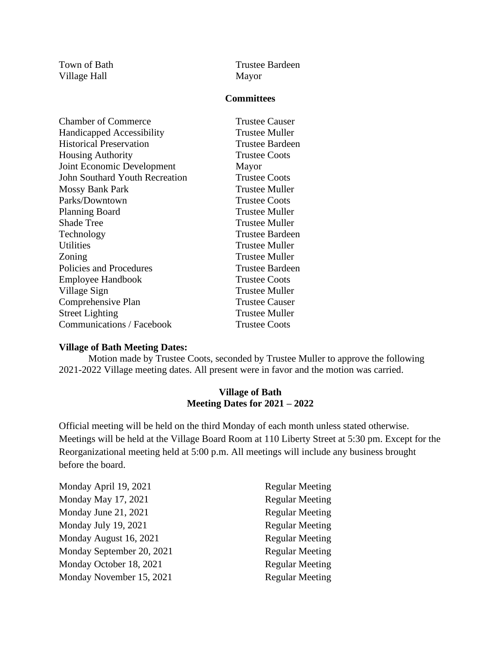Village Hall Mayor

Town of Bath Trustee Bardeen

## **Committees**

| <b>Chamber of Commerce</b>            | <b>Trustee Causer</b> |
|---------------------------------------|-----------------------|
| Handicapped Accessibility             | Trustee Muller        |
| <b>Historical Preservation</b>        | Trustee Bardeen       |
| <b>Housing Authority</b>              | <b>Trustee Coots</b>  |
| Joint Economic Development            | Mayor                 |
| <b>John Southard Youth Recreation</b> | <b>Trustee Coots</b>  |
| <b>Mossy Bank Park</b>                | <b>Trustee Muller</b> |
| Parks/Downtown                        | <b>Trustee Coots</b>  |
| <b>Planning Board</b>                 | Trustee Muller        |
| <b>Shade Tree</b>                     | Trustee Muller        |
| Technology                            | Trustee Bardeen       |
| <b>Utilities</b>                      | Trustee Muller        |
| Zoning                                | Trustee Muller        |
| Policies and Procedures               | Trustee Bardeen       |
| <b>Employee Handbook</b>              | <b>Trustee Coots</b>  |
| Village Sign                          | <b>Trustee Muller</b> |
| Comprehensive Plan                    | <b>Trustee Causer</b> |
| <b>Street Lighting</b>                | <b>Trustee Muller</b> |
| Communications / Facebook             | <b>Trustee Coots</b>  |

### **Village of Bath Meeting Dates:**

Motion made by Trustee Coots, seconded by Trustee Muller to approve the following 2021-2022 Village meeting dates. All present were in favor and the motion was carried.

### **Village of Bath Meeting Dates for 2021 – 2022**

Official meeting will be held on the third Monday of each month unless stated otherwise. Meetings will be held at the Village Board Room at 110 Liberty Street at 5:30 pm. Except for the Reorganizational meeting held at 5:00 p.m. All meetings will include any business brought before the board.

| Monday April 19, 2021     | <b>Regular Meeting</b> |
|---------------------------|------------------------|
| Monday May 17, 2021       | <b>Regular Meeting</b> |
| Monday June 21, 2021      | <b>Regular Meeting</b> |
| Monday July 19, 2021      | <b>Regular Meeting</b> |
| Monday August 16, 2021    | <b>Regular Meeting</b> |
| Monday September 20, 2021 | <b>Regular Meeting</b> |
| Monday October 18, 2021   | <b>Regular Meeting</b> |
| Monday November 15, 2021  | <b>Regular Meeting</b> |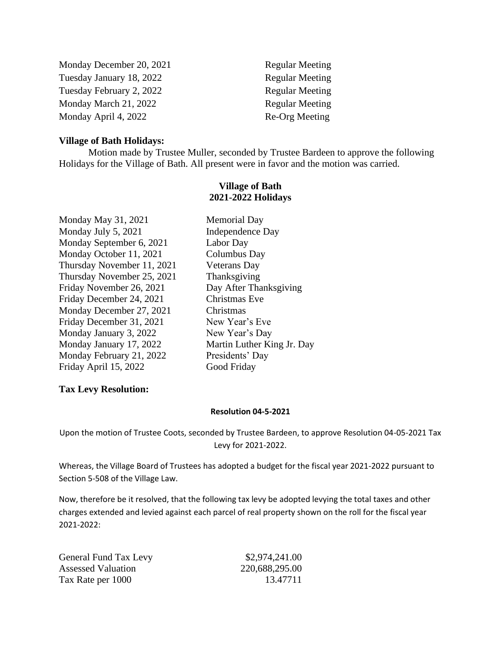| Monday December 20, 2021 | <b>Regular Meeting</b> |
|--------------------------|------------------------|
| Tuesday January 18, 2022 | <b>Regular Meeting</b> |
| Tuesday February 2, 2022 | <b>Regular Meeting</b> |
| Monday March 21, 2022    | <b>Regular Meeting</b> |
| Monday April 4, 2022     | Re-Org Meeting         |

### **Village of Bath Holidays:**

Motion made by Trustee Muller, seconded by Trustee Bardeen to approve the following Holidays for the Village of Bath. All present were in favor and the motion was carried.

### **Village of Bath 2021-2022 Holidays**

Monday May 31, 2021 Memorial Day Monday July 5, 2021 Independence Day Monday September 6, 2021 Labor Day Monday October 11, 2021 Columbus Day Thursday November 11, 2021 Veterans Day Thursday November 25, 2021 Thanksgiving Friday November 26, 2021 Day After Thanksgiving Friday December 24, 2021 Christmas Eve Monday December 27, 2021 Christmas Friday December 31, 2021 New Year's Eve Monday January 3, 2022 New Year's Day Monday January 17, 2022 Martin Luther King Jr. Day Monday February 21, 2022 Presidents' Day Friday April 15, 2022 Good Friday

## **Tax Levy Resolution:**

#### **Resolution 04-5-2021**

Upon the motion of Trustee Coots, seconded by Trustee Bardeen, to approve Resolution 04-05-2021 Tax Levy for 2021-2022.

Whereas, the Village Board of Trustees has adopted a budget for the fiscal year 2021-2022 pursuant to Section 5-508 of the Village Law.

Now, therefore be it resolved, that the following tax levy be adopted levying the total taxes and other charges extended and levied against each parcel of real property shown on the roll for the fiscal year 2021-2022:

| General Fund Tax Levy     | \$2,974,241.00 |
|---------------------------|----------------|
| <b>Assessed Valuation</b> | 220,688,295.00 |
| Tax Rate per 1000         | 13.47711       |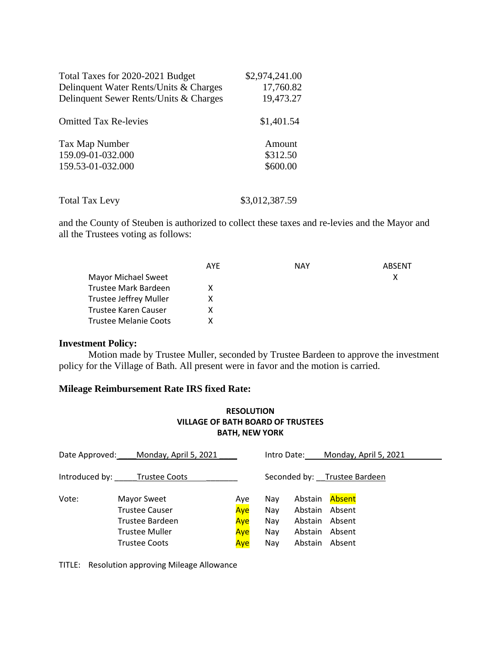| Total Taxes for 2020-2021 Budget       | \$2,974,241.00 |
|----------------------------------------|----------------|
| Delinquent Water Rents/Units & Charges | 17,760.82      |
| Delinquent Sewer Rents/Units & Charges | 19,473.27      |
| <b>Omitted Tax Re-levies</b>           | \$1,401.54     |
| Tax Map Number                         | Amount         |
| 159.09-01-032.000                      | \$312.50       |
| 159.53-01-032.000                      | \$600.00       |

Total Tax Levy \$3,012,387.59

and the County of Steuben is authorized to collect these taxes and re-levies and the Mayor and all the Trustees voting as follows:

|                               | AYE | NAY | ARSFNT |
|-------------------------------|-----|-----|--------|
| <b>Mayor Michael Sweet</b>    |     |     | х      |
| Trustee Mark Bardeen          | x   |     |        |
| <b>Trustee Jeffrey Muller</b> |     |     |        |
| Trustee Karen Causer          | x   |     |        |
| Trustee Melanie Coots         |     |     |        |

### **Investment Policy:**

Motion made by Trustee Muller, seconded by Trustee Bardeen to approve the investment policy for the Village of Bath. All present were in favor and the motion is carried.

## **Mileage Reimbursement Rate IRS fixed Rate:**

## **RESOLUTION VILLAGE OF BATH BOARD OF TRUSTEES BATH, NEW YORK**

| Date Approved: | Monday, April 5, 2021                                                                             |                                 | Intro Date:                     |                                                     | Monday, April 5, 2021                          |
|----------------|---------------------------------------------------------------------------------------------------|---------------------------------|---------------------------------|-----------------------------------------------------|------------------------------------------------|
| Introduced by: | <b>Trustee Coots</b>                                                                              |                                 |                                 |                                                     | Seconded by: Trustee Bardeen                   |
| Vote:          | Mayor Sweet<br>Trustee Causer<br>Trustee Bardeen<br><b>Trustee Muller</b><br><b>Trustee Coots</b> | Aye<br>Aye<br>Aye<br>Aye<br>Aye | Nav<br>Nay<br>Nay<br>Nay<br>Nav | Abstain<br>Abstain<br>Abstain<br>Abstain<br>Abstain | Absent<br>Absent<br>Absent<br>Absent<br>Absent |

TITLE: Resolution approving Mileage Allowance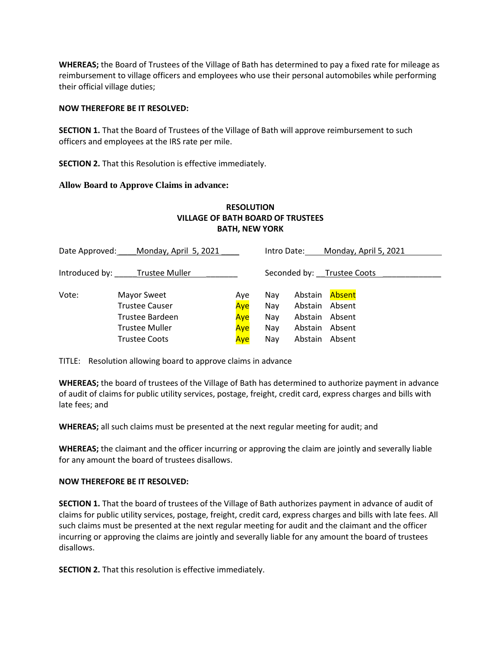**WHEREAS;** the Board of Trustees of the Village of Bath has determined to pay a fixed rate for mileage as reimbursement to village officers and employees who use their personal automobiles while performing their official village duties;

#### **NOW THEREFORE BE IT RESOLVED:**

**SECTION 1.** That the Board of Trustees of the Village of Bath will approve reimbursement to such officers and employees at the IRS rate per mile.

**SECTION 2.** That this Resolution is effective immediately.

### **Allow Board to Approve Claims in advance:**

### **RESOLUTION VILLAGE OF BATH BOARD OF TRUSTEES BATH, NEW YORK**

| Date Approved: | Monday, April 5, 2021 |     |     | Intro Date:    | Monday, April 5, 2021      |
|----------------|-----------------------|-----|-----|----------------|----------------------------|
| Introduced by: | Trustee Muller        |     |     |                | Seconded by: Trustee Coots |
| Vote:          | Mayor Sweet           | Aye | Nav | Abstain        | Absent                     |
|                | <b>Trustee Causer</b> | Aye | Nay | Abstain Absent |                            |
|                | Trustee Bardeen       | Aye | Nay | Abstain Absent |                            |
|                | <b>Trustee Muller</b> | Aye | Nay | Abstain Absent |                            |
|                | <b>Trustee Coots</b>  | Aye | Nay | Abstain Absent |                            |

TITLE: Resolution allowing board to approve claims in advance

**WHEREAS;** the board of trustees of the Village of Bath has determined to authorize payment in advance of audit of claims for public utility services, postage, freight, credit card, express charges and bills with late fees; and

**WHEREAS;** all such claims must be presented at the next regular meeting for audit; and

**WHEREAS;** the claimant and the officer incurring or approving the claim are jointly and severally liable for any amount the board of trustees disallows.

#### **NOW THEREFORE BE IT RESOLVED:**

**SECTION 1.** That the board of trustees of the Village of Bath authorizes payment in advance of audit of claims for public utility services, postage, freight, credit card, express charges and bills with late fees. All such claims must be presented at the next regular meeting for audit and the claimant and the officer incurring or approving the claims are jointly and severally liable for any amount the board of trustees disallows.

**SECTION 2.** That this resolution is effective immediately.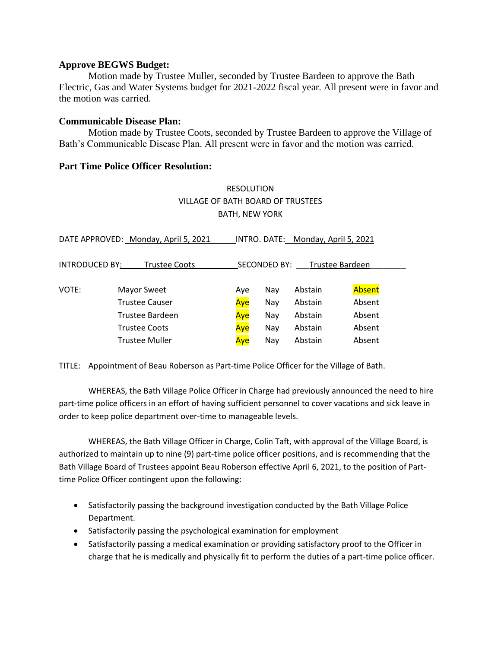### **Approve BEGWS Budget:**

Motion made by Trustee Muller, seconded by Trustee Bardeen to approve the Bath Electric, Gas and Water Systems budget for 2021-2022 fiscal year. All present were in favor and the motion was carried.

### **Communicable Disease Plan:**

Motion made by Trustee Coots, seconded by Trustee Bardeen to approve the Village of Bath's Communicable Disease Plan. All present were in favor and the motion was carried.

### **Part Time Police Officer Resolution:**

# RESOLUTION VILLAGE OF BATH BOARD OF TRUSTEES BATH, NEW YORK

| DATE APPROVED: Monday, April 5, 2021<br>INTRO. DATE: Monday, April 5, 2021 |                       |     |     |         |        |  |
|----------------------------------------------------------------------------|-----------------------|-----|-----|---------|--------|--|
| INTRODUCED BY:<br>SECONDED BY:<br>Trustee Bardeen<br><b>Trustee Coots</b>  |                       |     |     |         |        |  |
|                                                                            |                       |     |     |         |        |  |
| VOTE:                                                                      | Mayor Sweet           | Aye | Nay | Abstain | Absent |  |
|                                                                            | <b>Trustee Causer</b> | Aye | Nay | Abstain | Absent |  |
|                                                                            | Trustee Bardeen       | Aye | Nay | Abstain | Absent |  |
|                                                                            | <b>Trustee Coots</b>  | Aye | Nay | Abstain | Absent |  |
|                                                                            | <b>Trustee Muller</b> | Aye | Nay | Abstain | Absent |  |

TITLE: Appointment of Beau Roberson as Part-time Police Officer for the Village of Bath.

WHEREAS, the Bath Village Police Officer in Charge had previously announced the need to hire part-time police officers in an effort of having sufficient personnel to cover vacations and sick leave in order to keep police department over-time to manageable levels.

WHEREAS, the Bath Village Officer in Charge, Colin Taft, with approval of the Village Board, is authorized to maintain up to nine (9) part-time police officer positions, and is recommending that the Bath Village Board of Trustees appoint Beau Roberson effective April 6, 2021, to the position of Parttime Police Officer contingent upon the following:

- Satisfactorily passing the background investigation conducted by the Bath Village Police Department.
- Satisfactorily passing the psychological examination for employment
- Satisfactorily passing a medical examination or providing satisfactory proof to the Officer in charge that he is medically and physically fit to perform the duties of a part-time police officer.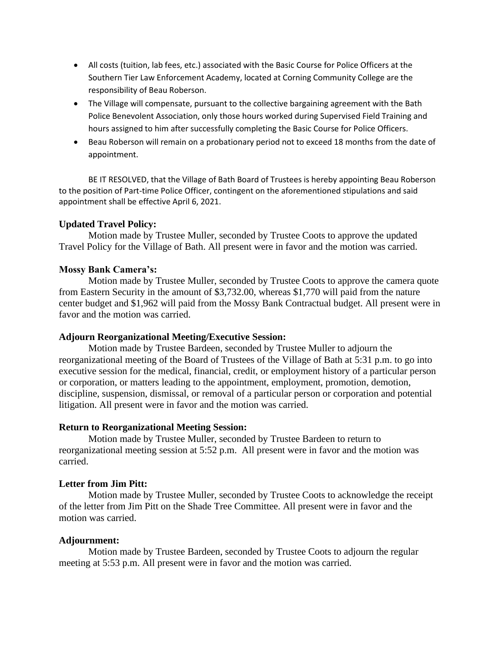- All costs (tuition, lab fees, etc.) associated with the Basic Course for Police Officers at the Southern Tier Law Enforcement Academy, located at Corning Community College are the responsibility of Beau Roberson.
- The Village will compensate, pursuant to the collective bargaining agreement with the Bath Police Benevolent Association, only those hours worked during Supervised Field Training and hours assigned to him after successfully completing the Basic Course for Police Officers.
- Beau Roberson will remain on a probationary period not to exceed 18 months from the date of appointment.

BE IT RESOLVED, that the Village of Bath Board of Trustees is hereby appointing Beau Roberson to the position of Part-time Police Officer, contingent on the aforementioned stipulations and said appointment shall be effective April 6, 2021.

## **Updated Travel Policy:**

Motion made by Trustee Muller, seconded by Trustee Coots to approve the updated Travel Policy for the Village of Bath. All present were in favor and the motion was carried.

### **Mossy Bank Camera's:**

Motion made by Trustee Muller, seconded by Trustee Coots to approve the camera quote from Eastern Security in the amount of \$3,732.00, whereas \$1,770 will paid from the nature center budget and \$1,962 will paid from the Mossy Bank Contractual budget. All present were in favor and the motion was carried.

### **Adjourn Reorganizational Meeting/Executive Session:**

Motion made by Trustee Bardeen, seconded by Trustee Muller to adjourn the reorganizational meeting of the Board of Trustees of the Village of Bath at 5:31 p.m. to go into executive session for the medical, financial, credit, or employment history of a particular person or corporation, or matters leading to the appointment, employment, promotion, demotion, discipline, suspension, dismissal, or removal of a particular person or corporation and potential litigation. All present were in favor and the motion was carried.

### **Return to Reorganizational Meeting Session:**

Motion made by Trustee Muller, seconded by Trustee Bardeen to return to reorganizational meeting session at 5:52 p.m. All present were in favor and the motion was carried.

### **Letter from Jim Pitt:**

Motion made by Trustee Muller, seconded by Trustee Coots to acknowledge the receipt of the letter from Jim Pitt on the Shade Tree Committee. All present were in favor and the motion was carried.

### **Adjournment:**

Motion made by Trustee Bardeen, seconded by Trustee Coots to adjourn the regular meeting at 5:53 p.m. All present were in favor and the motion was carried.